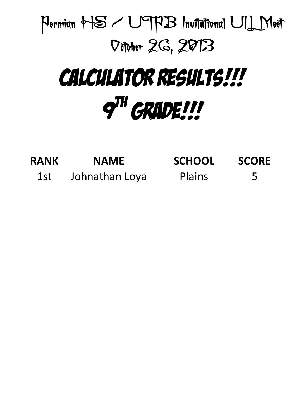

| <b>RANK</b> | <b>NAME</b>    | <b>SCHOOL</b> | <b>SCORE</b> |
|-------------|----------------|---------------|--------------|
| 1st         | Johnathan Loya | <b>Plains</b> | 5            |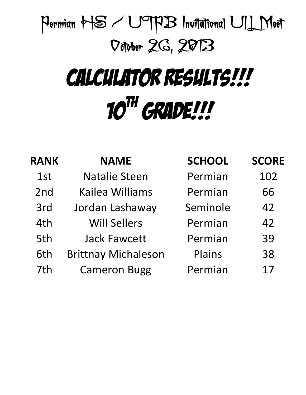### CALCULATOR RESULTS!!! 10<sup>TH</sup> GRADE!!!

| <b>RANK</b> | <b>NAME</b>                | <b>SCHOOL</b> | <b>SCORE</b> |
|-------------|----------------------------|---------------|--------------|
| 1st         | <b>Natalie Steen</b>       | Permian       | 102          |
| 2nd         | <b>Kailea Williams</b>     | Permian       | 66           |
| 3rd         | Jordan Lashaway            | Seminole      | 42           |
| 4th         | <b>Will Sellers</b>        | Permian       | 42           |
| 5th         | <b>Jack Fawcett</b>        | Permian       | 39           |
| 6th         | <b>Brittnay Michaleson</b> | Plains        | 38           |
| 7th         | <b>Cameron Bugg</b>        | Permian       | 17           |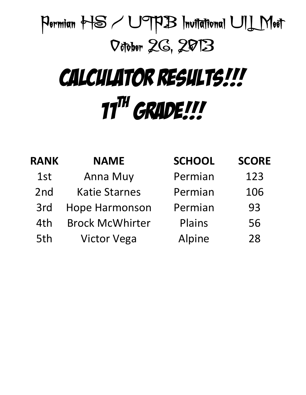# CALCULATOR RESULTS!!!  $11^{\text{TH}}$  GRADE!!!

| <b>RANK</b> | <b>NAME</b>            | <b>SCHOOL</b> | <b>SCORE</b> |
|-------------|------------------------|---------------|--------------|
| 1st         | <b>Anna Muy</b>        | Permian       | 123          |
| 2nd         | <b>Katie Starnes</b>   | Permian       | 106          |
| 3rd         | <b>Hope Harmonson</b>  | Permian       | 93           |
| 4th         | <b>Brock McWhirter</b> | Plains        | 56           |
| 5th         | <b>Victor Vega</b>     | Alpine        | 28           |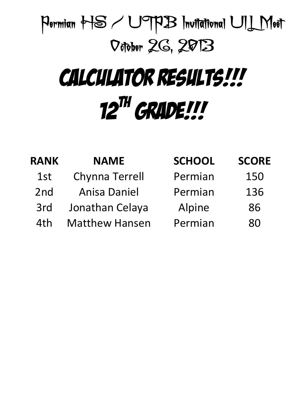### CALCULATOR RESULTS!!! 12<sup>TH</sup> GRADE!!!

| <b>NAME</b>           | <b>SCHOOL</b> | <b>SCORE</b> |
|-----------------------|---------------|--------------|
| <b>Chynna Terrell</b> | Permian       | 150          |
| <b>Anisa Daniel</b>   | Permian       | 136          |
| Jonathan Celaya       | Alpine        | 86           |
| <b>Matthew Hansen</b> | Permian       | 80           |
|                       |               |              |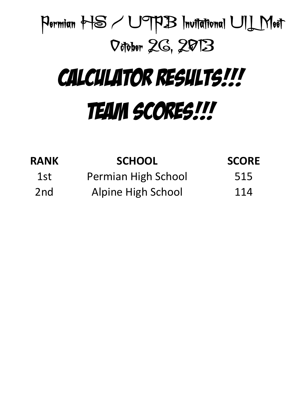### Permian HS / UTPB Invitational UIL Meet October 26, 2013 Calculator RESULTS!!!

# Team Scores!!!

| <b>RANK</b>     | <b>SCHOOL</b>       | <b>SCORE</b> |
|-----------------|---------------------|--------------|
| 1st             | Permian High School | 515          |
| 2 <sub>nd</sub> | Alpine High School  | 114          |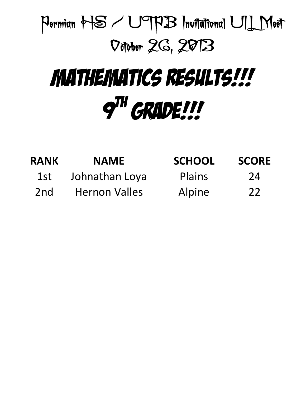

### Mathematics RESULTS!!!  $q^{TH}$  GRADE!!!

| <b>RANK</b> | <b>NAME</b>          | <b>SCHOOL</b> | <b>SCORE</b> |
|-------------|----------------------|---------------|--------------|
| 1st         | Johnathan Loya       | <b>Plains</b> | 24           |
| 2nd         | <b>Hernon Valles</b> | Alpine        | 22           |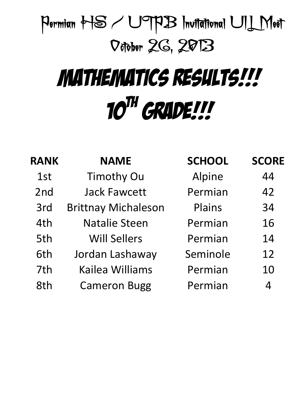# Mathematics RESULTS!!! 10<sup>TH</sup> GRADE!!!

| <b>RANK</b> | <b>NAME</b>                | <b>SCHOOL</b> | <b>SCORE</b>   |
|-------------|----------------------------|---------------|----------------|
| 1st         | <b>Timothy Ou</b>          | Alpine        | 44             |
| 2nd         | <b>Jack Fawcett</b>        | Permian       | 42             |
| 3rd         | <b>Brittnay Michaleson</b> | Plains        | 34             |
| 4th         | <b>Natalie Steen</b>       | Permian       | 16             |
| 5th         | <b>Will Sellers</b>        | Permian       | 14             |
| 6th         | Jordan Lashaway            | Seminole      | 12             |
| 7th         | Kailea Williams            | Permian       | 10             |
| 8th         | <b>Cameron Bugg</b>        | Permian       | $\overline{4}$ |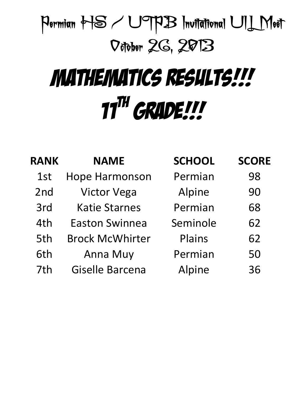# Mathematics RESULTS!!!  $11^{\text{TH}}$  GRADE!!!

| <b>RANK</b> | <b>NAME</b>            | <b>SCHOOL</b> | <b>SCORE</b> |
|-------------|------------------------|---------------|--------------|
| 1st         | <b>Hope Harmonson</b>  | Permian       | 98           |
| 2nd         | <b>Victor Vega</b>     | Alpine        | 90           |
| 3rd         | <b>Katie Starnes</b>   | Permian       | 68           |
| 4th         | <b>Easton Swinnea</b>  | Seminole      | 62           |
| 5th         | <b>Brock McWhirter</b> | Plains        | 62           |
| 6th         | <b>Anna Muy</b>        | Permian       | 50           |
| 7th         | <b>Giselle Barcena</b> | Alpine        | 36           |
|             |                        |               |              |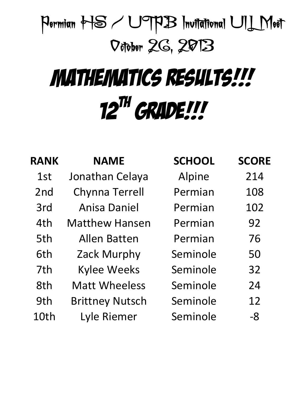# Mathematics RESULTS!!! 12<sup>TH</sup> GRADE!!!

| <b>RANK</b>     | <b>NAME</b>            | <b>SCHOOL</b> | <b>SCORE</b> |
|-----------------|------------------------|---------------|--------------|
| 1st             | Jonathan Celaya        | Alpine        | 214          |
| 2 <sub>nd</sub> | <b>Chynna Terrell</b>  | Permian       | 108          |
| 3rd             | Anisa Daniel           | Permian       | 102          |
| 4th             | <b>Matthew Hansen</b>  | Permian       | 92           |
| 5th             | Allen Batten           | Permian       | 76           |
| 6th             | Zack Murphy            | Seminole      | 50           |
| 7th             | <b>Kylee Weeks</b>     | Seminole      | 32           |
| 8th             | <b>Matt Wheeless</b>   | Seminole      | 24           |
| 9th             | <b>Brittney Nutsch</b> | Seminole      | 12           |
| 10th            | Lyle Riemer            | Seminole      | -8           |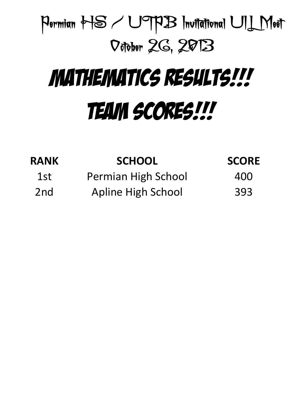# Mathematics RESULTS!!! TEAM SCORES!!!

| <b>RANK</b>     | <b>SCHOOL</b>       | <b>SCORE</b> |
|-----------------|---------------------|--------------|
| 1st             | Permian High School | 400          |
| 2 <sub>nd</sub> | Apline High School  | 393          |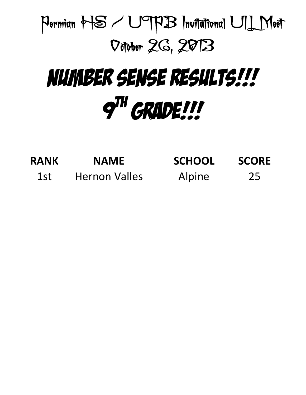

### NUMBER SENSE RESULTS!!!  $q^{TH}$  GRADE!!!

| <b>RANK</b> | <b>NAME</b>          | <b>SCHOOL</b> | <b>SCORE</b> |
|-------------|----------------------|---------------|--------------|
| 1st         | <b>Hernon Valles</b> | Alpine        | 25           |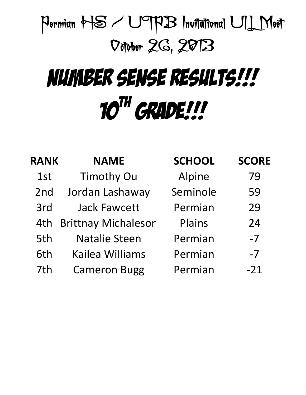# $10^{TH}$  GRADE!!! NUMBER SENSE RESULTS!!!

| <b>RANK</b> | <b>NAME</b>                | <b>SCHOOL</b> | <b>SCORE</b> |
|-------------|----------------------------|---------------|--------------|
| 1st         | <b>Timothy Ou</b>          | Alpine        | 79           |
| 2nd         | Jordan Lashaway            | Seminole      | 59           |
| 3rd         | <b>Jack Fawcett</b>        | Permian       | 29           |
| 4th         | <b>Brittnay Michaleson</b> | Plains        | 24           |
| 5th         | <b>Natalie Steen</b>       | Permian       | $-7$         |
| 6th         | <b>Kailea Williams</b>     | Permian       | $-7$         |
| 7th         | <b>Cameron Bugg</b>        | Permian       | $-21$        |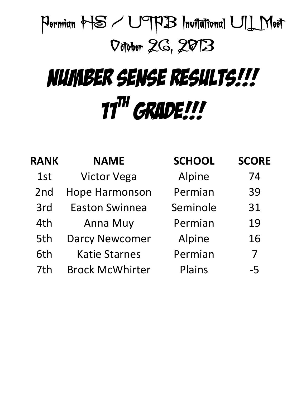# $11^{\text{TH}}$  GRADE!!! NUMBER SENSE RESULTS!!!

| <b>RANK</b>     | <b>NAME</b>            | <b>SCHOOL</b> | <b>SCORE</b> |
|-----------------|------------------------|---------------|--------------|
| 1st             | <b>Victor Vega</b>     | Alpine        | 74           |
| 2 <sub>nd</sub> | <b>Hope Harmonson</b>  | Permian       | 39           |
| 3rd             | <b>Easton Swinnea</b>  | Seminole      | 31           |
| 4th             | Anna Muy               | Permian       | 19           |
| 5th             | <b>Darcy Newcomer</b>  | Alpine        | 16           |
| 6th             | <b>Katie Starnes</b>   | Permian       | 7            |
| 7th             | <b>Brock McWhirter</b> | Plains        | $-5$         |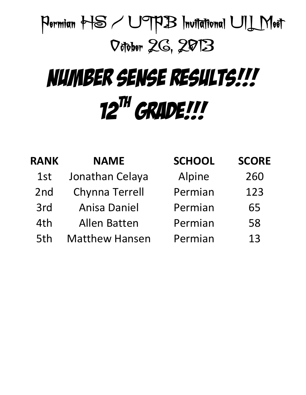# 12<sup>TH</sup> GRADE!!! NUMBER SENSE RESULTS!!!

| <b>RANK</b> | <b>NAME</b>           | <b>SCHOOL</b> | <b>SCORE</b> |
|-------------|-----------------------|---------------|--------------|
| 1st         | Jonathan Celaya       | Alpine        | 260          |
| 2nd         | <b>Chynna Terrell</b> | Permian       | 123          |
| 3rd         | <b>Anisa Daniel</b>   | Permian       | 65           |
| 4th         | <b>Allen Batten</b>   | Permian       | 58           |
| 5th         | <b>Matthew Hansen</b> | Permian       | 13           |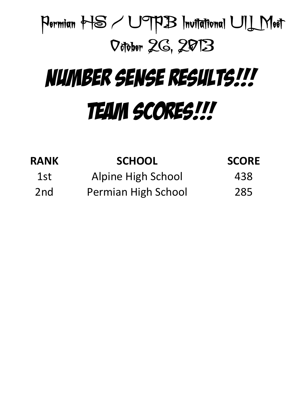# NUMBER SENSE RESULTS!!! TEAM SCORES!!!

| <b>RANK</b>     | <b>SCHOOL</b>             | <b>SCORE</b> |
|-----------------|---------------------------|--------------|
| 1st             | <b>Alpine High School</b> | 438          |
| 2 <sub>nd</sub> | Permian High School       | 285          |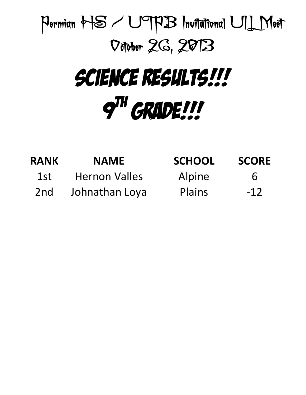

| <b>RANK</b>     | <b>NAME</b>          | <b>SCHOOL</b> | <b>SCORE</b> |
|-----------------|----------------------|---------------|--------------|
| 1st             | <b>Hernon Valles</b> | Alpine        | $\mathbf b$  |
| 2 <sub>nd</sub> | Johnathan Loya       | Plains        | $-12$        |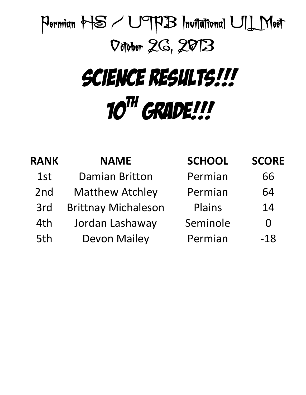### Permian HS / UTPB Invitational UIL Meet October 26, 2013 SCIENCE RESULTS!!!

# 10<sup>th</sup> Grade!!!

| <b>NAME</b>                | <b>SCHOOL</b> | <b>SCORE</b> |
|----------------------------|---------------|--------------|
| <b>Damian Britton</b>      | Permian       | 66           |
| <b>Matthew Atchley</b>     | Permian       | 64           |
| <b>Brittnay Michaleson</b> | Plains        | 14           |
| Jordan Lashaway            | Seminole      | $\Omega$     |
| <b>Devon Mailey</b>        | Permian       | $-18$        |
|                            |               |              |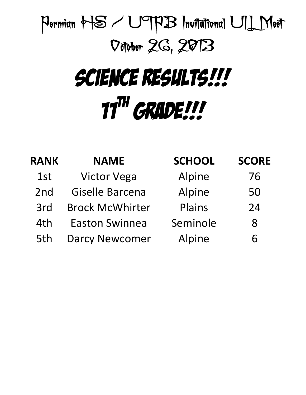### SCIENCE RESULTS!!! 11<sup>TH</sup> GRADE!!!

| <b>NAME</b>            | <b>SCHOOL</b> | <b>SCORE</b> |
|------------------------|---------------|--------------|
| <b>Victor Vega</b>     | Alpine        | 76           |
| Giselle Barcena        | Alpine        | 50           |
| <b>Brock McWhirter</b> | Plains        | 24           |
| <b>Easton Swinnea</b>  | Seminole      | 8            |
| <b>Darcy Newcomer</b>  | Alpine        | 6            |
|                        |               |              |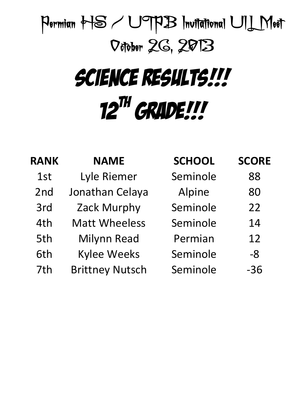### SCIENCE RESULTS!!! 12<sup>TH</sup> GRADE!!!

| <b>RANK</b> | <b>NAME</b>            | <b>SCHOOL</b> | <b>SCORE</b> |
|-------------|------------------------|---------------|--------------|
| 1st         | Lyle Riemer            | Seminole      | 88           |
| 2nd         | Jonathan Celaya        | Alpine        | 80           |
| 3rd         | Zack Murphy            | Seminole      | 22           |
| 4th         | <b>Matt Wheeless</b>   | Seminole      | 14           |
| 5th         | <b>Milynn Read</b>     | Permian       | 12           |
| 6th         | <b>Kylee Weeks</b>     | Seminole      | -8           |
| 7th         | <b>Brittney Nutsch</b> | Seminole      | $-36$        |